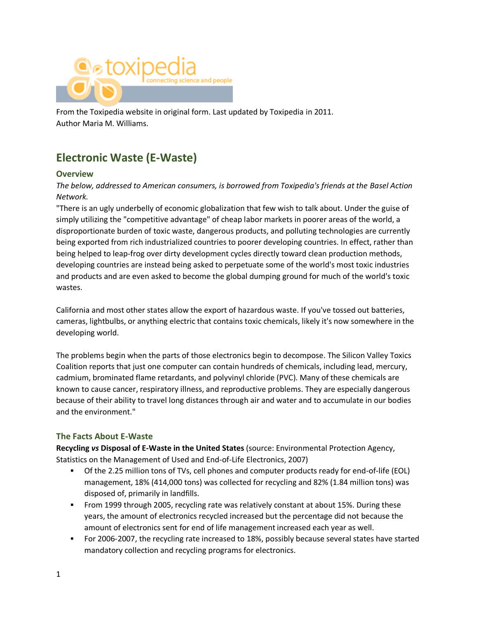

From the Toxipedia website in original form. Last updated by Toxipedia in 2011. Author Maria M. Williams.

# **Electronic Waste (E-Waste)**

#### **Overview**

#### *The below, addressed to American consumers, is borrowed from Toxipedia's friends at the Basel Action Network.*

"There is an ugly underbelly of economic globalization that few wish to talk about. Under the guise of simply utilizing the "competitive advantage" of cheap labor markets in poorer areas of the world, a disproportionate burden of toxic waste, dangerous products, and polluting technologies are currently being exported from rich industrialized countries to poorer developing countries. In effect, rather than being helped to leap-frog over dirty development cycles directly toward clean production methods, developing countries are instead being asked to perpetuate some of the world's most toxic industries and products and are even asked to become the global dumping ground for much of the world's toxic wastes.

California and most other states allow the export of hazardous waste. If you've tossed out batteries, cameras, lightbulbs, or anything electric that contains toxic chemicals, likely it's now somewhere in the developing world.

The problems begin when the parts of those electronics begin to decompose. The Silicon Valley Toxics Coalition reports that just one computer can contain hundreds of chemicals, including lead, mercury, cadmium, brominated flame retardants, and polyvinyl chloride (PVC). Many of these chemicals are known to cause cancer, respiratory illness, and reproductive problems. They are especially dangerous because of their ability to travel long distances through air and water and to accumulate in our bodies and the environment."

#### **The Facts About E-Waste**

**Recycling** *vs* **Disposal of E-Waste in the United States** (source: Environmental Protection Agency, Statistics on the Management of Used and End-of-Life Electronics, 2007)

- Of the 2.25 million tons of TVs, cell phones and computer products ready for end-of-life (EOL) management, 18% (414,000 tons) was collected for recycling and 82% (1.84 million tons) was disposed of, primarily in landfills.
- **From 1999 through 2005, recycling rate was relatively constant at about 15%. During these** years, the amount of electronics recycled increased but the percentage did not because the amount of electronics sent for end of life management increased each year as well.
- For 2006-2007, the recycling rate increased to 18%, possibly because several states have started mandatory collection and recycling programs for electronics.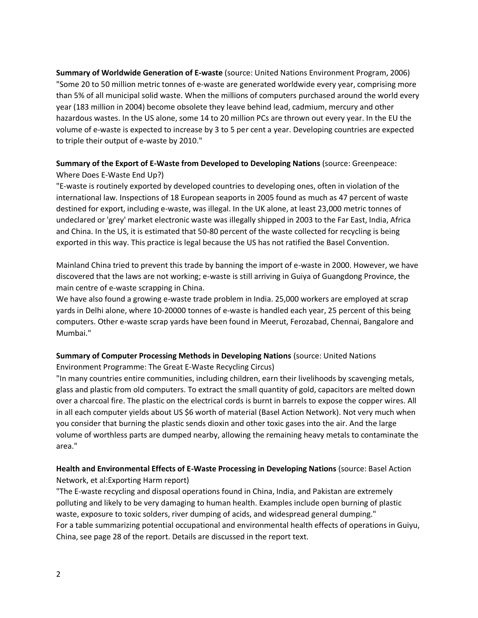**Summary of Worldwide Generation of E-waste** (source: United Nations Environment Program, 2006) "Some 20 to 50 million metric tonnes of e‐waste are generated worldwide every year, comprising more than 5% of all municipal solid waste. When the millions of computers purchased around the world every year (183 million in 2004) become obsolete they leave behind lead, cadmium, mercury and other hazardous wastes. In the US alone, some 14 to 20 million PCs are thrown out every year. In the EU the volume of e‐waste is expected to increase by 3 to 5 per cent a year. Developing countries are expected to triple their output of e‐waste by 2010."

#### **Summary of the Export of E-Waste from Developed to Developing Nations** (source: Greenpeace: Where Does E-Waste End Up?)

"E-waste is routinely exported by developed countries to developing ones, often in violation of the international law. Inspections of 18 European seaports in 2005 found as much as 47 percent of waste destined for export, including e-waste, was illegal. In the UK alone, at least 23,000 metric tonnes of undeclared or 'grey' market electronic waste was illegally shipped in 2003 to the Far East, India, Africa and China. In the US, it is estimated that 50-80 percent of the waste collected for recycling is being exported in this way. This practice is legal because the US has not ratified the Basel Convention.

Mainland China tried to prevent this trade by banning the import of e-waste in 2000. However, we have discovered that the laws are not working; e-waste is still arriving in Guiya of Guangdong Province, the main centre of e-waste scrapping in China.

We have also found a growing e-waste trade problem in India. 25,000 workers are employed at scrap yards in Delhi alone, where 10-20000 tonnes of e-waste is handled each year, 25 percent of this being computers. Other e-waste scrap yards have been found in Meerut, Ferozabad, Chennai, Bangalore and Mumbai."

# **Summary of Computer Processing Methods in Developing Nations** (source: United Nations

Environment Programme: The Great E-Waste Recycling Circus)

"In many countries entire communities, including children, earn their livelihoods by scavenging metals, glass and plastic from old computers. To extract the small quantity of gold, capacitors are melted down over a charcoal fire. The plastic on the electrical cords is burnt in barrels to expose the copper wires. All in all each computer yields about US \$6 worth of material (Basel Action Network). Not very much when you consider that burning the plastic sends dioxin and other toxic gases into the air. And the large volume of worthless parts are dumped nearby, allowing the remaining heavy metals to contaminate the area."

## **Health and Environmental Effects of E-Waste Processing in Developing Nations** (source: Basel Action Network, et al:Exporting Harm report)

"The E-waste recycling and disposal operations found in China, India, and Pakistan are extremely polluting and likely to be very damaging to human health. Examples include open burning of plastic waste, exposure to toxic solders, river dumping of acids, and widespread general dumping." For a table summarizing potential occupational and environmental health effects of operations in Guiyu, China, see page 28 of the report. Details are discussed in the report text.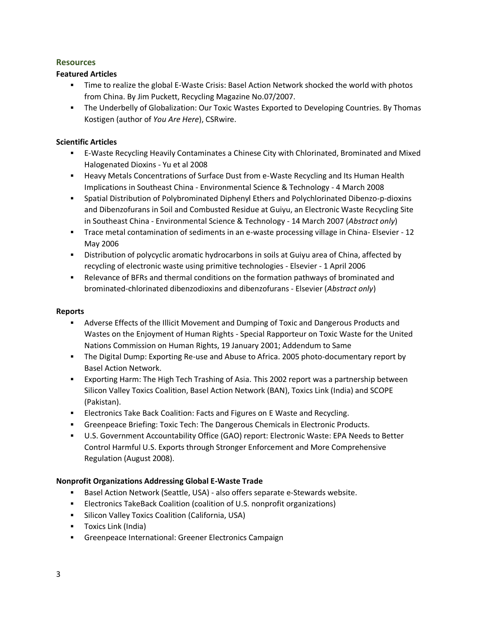#### **Resources**

#### **Featured Articles**

- Time to realize the global E-Waste Crisis: Basel Action Network shocked the world with photos from China. By Jim Puckett, Recycling Magazine No.07/2007.
- The Underbelly of Globalization: Our Toxic Wastes Exported to Developing Countries. By Thomas Kostigen (author of *You Are Here*), CSRwire.

## **Scientific Articles**

- E-Waste Recycling Heavily Contaminates a Chinese City with Chlorinated, Brominated and Mixed Halogenated Dioxins - Yu et al 2008
- **Heavy Metals Concentrations of Surface Dust from e-Waste Recycling and Its Human Health** Implications in Southeast China - Environmental Science & Technology - 4 March 2008
- Spatial Distribution of Polybrominated Diphenyl Ethers and Polychlorinated Dibenzo-p-dioxins and Dibenzofurans in Soil and Combusted Residue at Guiyu, an Electronic Waste Recycling Site in Southeast China - Environmental Science & Technology - 14 March 2007 (*Abstract only*)
- Trace metal contamination of sediments in an e-waste processing village in China- Elsevier 12 May 2006
- Distribution of polycyclic aromatic hydrocarbons in soils at Guiyu area of China, affected by recycling of electronic waste using primitive technologies - Elsevier - 1 April 2006
- Relevance of BFRs and thermal conditions on the formation pathways of brominated and brominated-chlorinated dibenzodioxins and dibenzofurans - Elsevier (*Abstract only*)

#### **Reports**

- Adverse Effects of the Illicit Movement and Dumping of Toxic and Dangerous Products and Wastes on the Enjoyment of Human Rights - Special Rapporteur on Toxic Waste for the United Nations Commission on Human Rights, 19 January 2001; Addendum to Same
- The Digital Dump: Exporting Re-use and Abuse to Africa. 2005 photo-documentary report by Basel Action Network.
- Exporting Harm: The High Tech Trashing of Asia. This 2002 report was a partnership between Silicon Valley Toxics Coalition, Basel Action Network (BAN), Toxics Link (India) and SCOPE (Pakistan).
- **ELECTRONICS TAKE BACK Coalition: Facts and Figures on E Waste and Recycling.**
- Greenpeace Briefing: Toxic Tech: The Dangerous Chemicals in Electronic Products.
- U.S. Government Accountability Office (GAO) report: Electronic Waste: EPA Needs to Better Control Harmful U.S. Exports through Stronger Enforcement and More Comprehensive Regulation (August 2008).

#### **Nonprofit Organizations Addressing Global E-Waste Trade**

- **Basel Action Network (Seattle, USA) also offers separate e-Stewards website.**
- **Electronics TakeBack Coalition (coalition of U.S. nonprofit organizations)**
- **Silicon Valley Toxics Coalition (California, USA)**
- **Toxics Link (India)**
- Greenpeace International: Greener Electronics Campaign